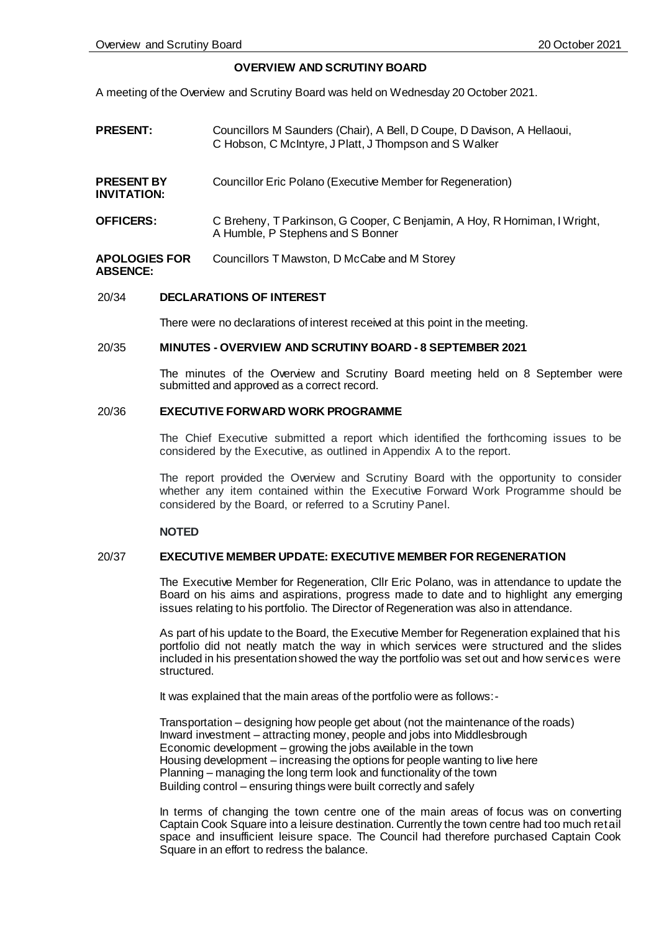#### **OVERVIEW AND SCRUTINY BOARD**

A meeting of the Overview and Scrutiny Board was held on Wednesday 20 October 2021.

- **PRESENT:** Councillors M Saunders (Chair), A Bell, D Coupe, D Davison, A Hellaoui, C Hobson, C McIntyre, J Platt, J Thompson and S Walker
- **PRESENT BY INVITATION:** Councillor Eric Polano (Executive Member for Regeneration)
- **OFFICERS:** C Breheny, T Parkinson, G Cooper, C Benjamin, A Hoy, R Horniman, I Wright, A Humble, P Stephens and S Bonner
- **APOLOGIES FOR ABSENCE:** Councillors T Mawston, D McCabe and M Storey

#### 20/34 **DECLARATIONS OF INTEREST**

There were no declarations of interest received at this point in the meeting.

#### 20/35 **MINUTES - OVERVIEW AND SCRUTINY BOARD - 8 SEPTEMBER 2021**

The minutes of the Overview and Scrutiny Board meeting held on 8 September were submitted and approved as a correct record.

#### 20/36 **EXECUTIVE FORWARD WORK PROGRAMME**

The Chief Executive submitted a report which identified the forthcoming issues to be considered by the Executive, as outlined in Appendix A to the report.

The report provided the Overview and Scrutiny Board with the opportunity to consider whether any item contained within the Executive Forward Work Programme should be considered by the Board, or referred to a Scrutiny Panel.

#### **NOTED**

# 20/37 **EXECUTIVE MEMBER UPDATE: EXECUTIVE MEMBER FOR REGENERATION**

The Executive Member for Regeneration, Cllr Eric Polano, was in attendance to update the Board on his aims and aspirations, progress made to date and to highlight any emerging issues relating to his portfolio. The Director of Regeneration was also in attendance.

As part of his update to the Board, the Executive Member for Regeneration explained that his portfolio did not neatly match the way in which services were structured and the slides included in his presentation showed the way the portfolio was set out and how services were structured.

It was explained that the main areas of the portfolio were as follows:-

Transportation – designing how people get about (not the maintenance of the roads) Inward investment – attracting money, people and jobs into Middlesbrough Economic development – growing the jobs available in the town Housing development – increasing the options for people wanting to live here Planning – managing the long term look and functionality of the town Building control – ensuring things were built correctly and safely

In terms of changing the town centre one of the main areas of focus was on converting Captain Cook Square into a leisure destination. Currently the town centre had too much retail space and insufficient leisure space. The Council had therefore purchased Captain Cook Square in an effort to redress the balance.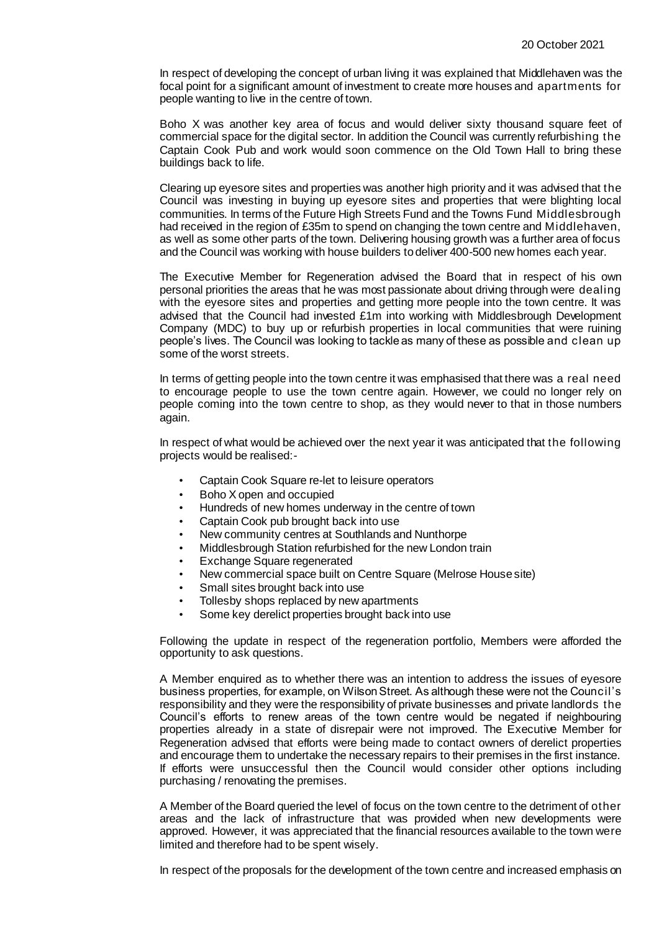In respect of developing the concept of urban living it was explained that Middlehaven was the focal point for a significant amount of investment to create more houses and apartments for people wanting to live in the centre of town.

Boho X was another key area of focus and would deliver sixty thousand square feet of commercial space for the digital sector. In addition the Council was currently refurbishing the Captain Cook Pub and work would soon commence on the Old Town Hall to bring these buildings back to life.

Clearing up eyesore sites and properties was another high priority and it was advised that the Council was investing in buying up eyesore sites and properties that were blighting local communities. In terms of the Future High Streets Fund and the Towns Fund Middlesbrough had received in the region of £35m to spend on changing the town centre and Middlehaven, as well as some other parts of the town. Delivering housing growth was a further area of focus and the Council was working with house builders to deliver 400-500 new homes each year.

The Executive Member for Regeneration advised the Board that in respect of his own personal priorities the areas that he was most passionate about driving through were dealing with the eyesore sites and properties and getting more people into the town centre. It was advised that the Council had invested £1m into working with Middlesbrough Development Company (MDC) to buy up or refurbish properties in local communities that were ruining people's lives. The Council was looking to tackle as many of these as possible and clean up some of the worst streets.

In terms of getting people into the town centre it was emphasised that there was a real need to encourage people to use the town centre again. However, we could no longer rely on people coming into the town centre to shop, as they would never to that in those numbers again.

In respect of what would be achieved over the next year it was anticipated that the following projects would be realised:-

- Captain Cook Square re-let to leisure operators
- Boho X open and occupied
- Hundreds of new homes underway in the centre of town
- Captain Cook pub brought back into use
- New community centres at Southlands and Nunthorpe
- Middlesbrough Station refurbished for the new London train
- **Exchange Square regenerated**
- New commercial space built on Centre Square (Melrose House site)
- Small sites brought back into use
- Tollesby shops replaced by new apartments
- Some key derelict properties brought back into use

Following the update in respect of the regeneration portfolio, Members were afforded the opportunity to ask questions.

A Member enquired as to whether there was an intention to address the issues of eyesore business properties, for example, on Wilson Street. As although these were not the Council's responsibility and they were the responsibility of private businesses and private landlords the Council's efforts to renew areas of the town centre would be negated if neighbouring properties already in a state of disrepair were not improved. The Executive Member for Regeneration advised that efforts were being made to contact owners of derelict properties and encourage them to undertake the necessary repairs to their premises in the first instance. If efforts were unsuccessful then the Council would consider other options including purchasing / renovating the premises.

A Member of the Board queried the level of focus on the town centre to the detriment of other areas and the lack of infrastructure that was provided when new developments were approved. However, it was appreciated that the financial resources available to the town were limited and therefore had to be spent wisely.

In respect of the proposals for the development of the town centre and increased emphasis on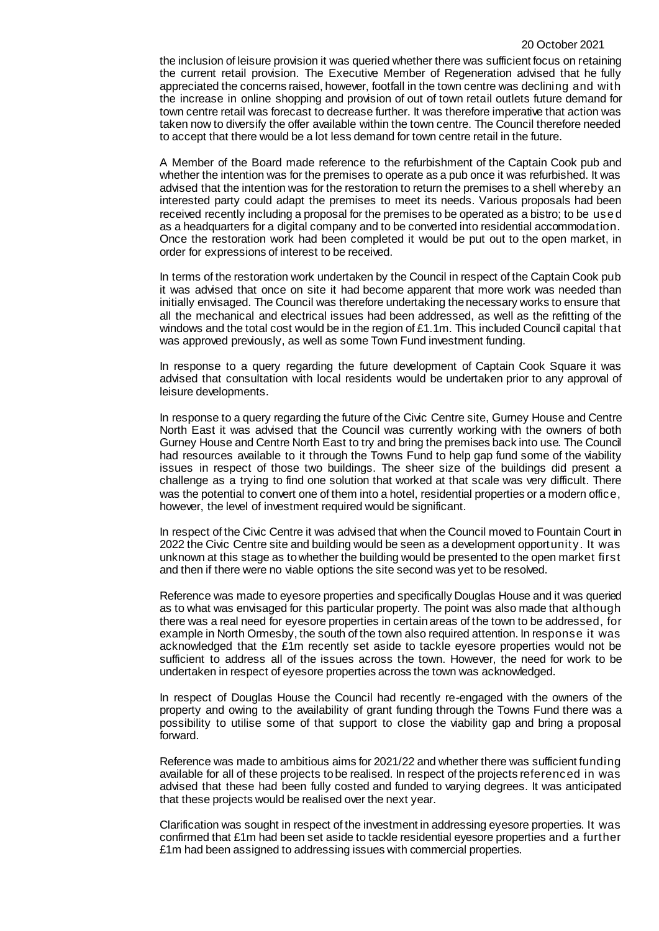#### 20 October 2021

the inclusion of leisure provision it was queried whether there was sufficient focus on retaining the current retail provision. The Executive Member of Regeneration advised that he fully appreciated the concerns raised, however, footfall in the town centre was declining and with the increase in online shopping and provision of out of town retail outlets future demand for town centre retail was forecast to decrease further. It was therefore imperative that action was taken now to diversify the offer available within the town centre. The Council therefore needed to accept that there would be a lot less demand for town centre retail in the future.

A Member of the Board made reference to the refurbishment of the Captain Cook pub and whether the intention was for the premises to operate as a pub once it was refurbished. It was advised that the intention was for the restoration to return the premises to a shell whereby an interested party could adapt the premises to meet its needs. Various proposals had been received recently including a proposal for the premises to be operated as a bistro; to be use d as a headquarters for a digital company and to be converted into residential accommodation. Once the restoration work had been completed it would be put out to the open market, in order for expressions of interest to be received.

In terms of the restoration work undertaken by the Council in respect of the Captain Cook pub it was advised that once on site it had become apparent that more work was needed than initially envisaged. The Council was therefore undertaking the necessary works to ensure that all the mechanical and electrical issues had been addressed, as well as the refitting of the windows and the total cost would be in the region of £1.1m. This included Council capital that was approved previously, as well as some Town Fund investment funding.

In response to a query regarding the future development of Captain Cook Square it was advised that consultation with local residents would be undertaken prior to any approval of leisure developments.

In response to a query regarding the future of the Civic Centre site, Gurney House and Centre North East it was advised that the Council was currently working with the owners of both Gurney House and Centre North East to try and bring the premises back into use. The Council had resources available to it through the Towns Fund to help gap fund some of the viability issues in respect of those two buildings. The sheer size of the buildings did present a challenge as a trying to find one solution that worked at that scale was very difficult. There was the potential to convert one of them into a hotel, residential properties or a modern office, however, the level of investment required would be significant.

In respect of the Civic Centre it was advised that when the Council moved to Fountain Court in 2022 the Civic Centre site and building would be seen as a development opportunity. It was unknown at this stage as to whether the building would be presented to the open market first and then if there were no viable options the site second was yet to be resolved.

Reference was made to eyesore properties and specifically Douglas House and it was queried as to what was envisaged for this particular property. The point was also made that although there was a real need for eyesore properties in certain areas of the town to be addressed, for example in North Ormesby, the south of the town also required attention. In response it was acknowledged that the £1m recently set aside to tackle eyesore properties would not be sufficient to address all of the issues across the town. However, the need for work to be undertaken in respect of eyesore properties across the town was acknowledged.

In respect of Douglas House the Council had recently re-engaged with the owners of the property and owing to the availability of grant funding through the Towns Fund there was a possibility to utilise some of that support to close the viability gap and bring a proposal forward.

Reference was made to ambitious aims for 2021/22 and whether there was sufficient funding available for all of these projects to be realised. In respect of the projects referenced in was advised that these had been fully costed and funded to varying degrees. It was anticipated that these projects would be realised over the next year.

Clarification was sought in respect of the investment in addressing eyesore properties. It was confirmed that £1m had been set aside to tackle residential eyesore properties and a further £1m had been assigned to addressing issues with commercial properties.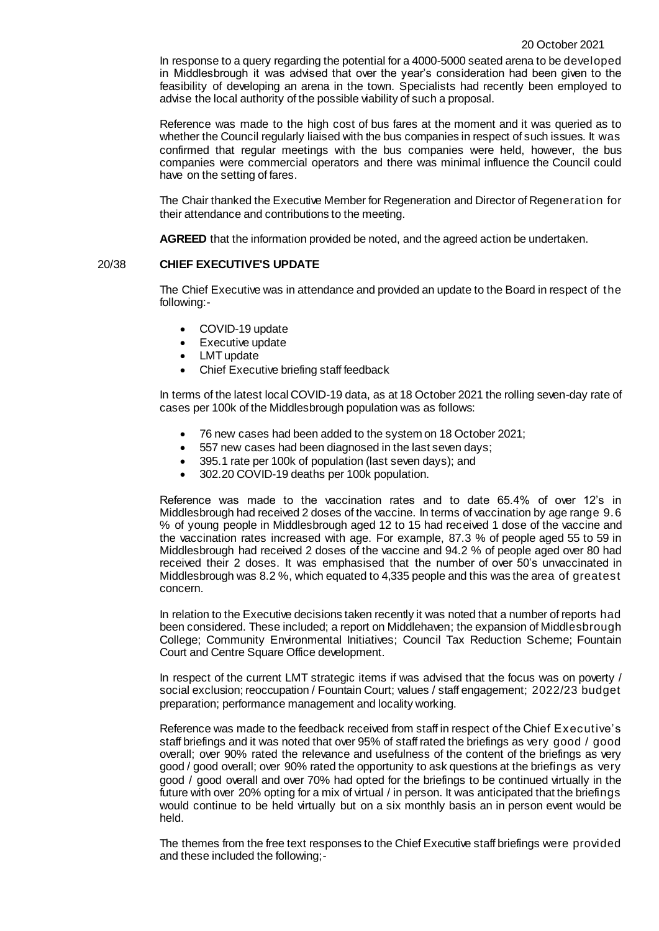In response to a query regarding the potential for a 4000-5000 seated arena to be developed in Middlesbrough it was advised that over the year's consideration had been given to the feasibility of developing an arena in the town. Specialists had recently been employed to advise the local authority of the possible viability of such a proposal.

Reference was made to the high cost of bus fares at the moment and it was queried as to whether the Council regularly liaised with the bus companies in respect of such issues. It was confirmed that regular meetings with the bus companies were held, however, the bus companies were commercial operators and there was minimal influence the Council could have on the setting of fares.

The Chair thanked the Executive Member for Regeneration and Director of Regeneration for their attendance and contributions to the meeting.

**AGREED** that the information provided be noted, and the agreed action be undertaken.

# 20/38 **CHIEF EXECUTIVE'S UPDATE**

The Chief Executive was in attendance and provided an update to the Board in respect of the following:-

- COVID-19 update
- Executive update
- LMT update
- Chief Executive briefing staff feedback

In terms of the latest local COVID-19 data, as at 18 October 2021 the rolling seven-day rate of cases per 100k of the Middlesbrough population was as follows:

- 76 new cases had been added to the system on 18 October 2021;
- 557 new cases had been diagnosed in the last seven days;
- 395.1 rate per 100k of population (last seven days); and
- 302.20 COVID-19 deaths per 100k population.

Reference was made to the vaccination rates and to date 65.4% of over 12's in Middlesbrough had received 2 doses of the vaccine. In terms of vaccination by age range 9.6 % of young people in Middlesbrough aged 12 to 15 had received 1 dose of the vaccine and the vaccination rates increased with age. For example, 87.3 % of people aged 55 to 59 in Middlesbrough had received 2 doses of the vaccine and 94.2 % of people aged over 80 had received their 2 doses. It was emphasised that the number of over 50's unvaccinated in Middlesbrough was 8.2 %, which equated to 4,335 people and this was the area of greatest concern.

In relation to the Executive decisions taken recently it was noted that a number of reports had been considered. These included; a report on Middlehaven; the expansion of Middlesbrough College; Community Environmental Initiatives; Council Tax Reduction Scheme; Fountain Court and Centre Square Office development.

In respect of the current LMT strategic items if was advised that the focus was on poverty / social exclusion; reoccupation / Fountain Court; values / staff engagement; 2022/23 budget preparation; performance management and locality working.

Reference was made to the feedback received from staff in respect of the Chief Executive's staff briefings and it was noted that over 95% of staff rated the briefings as very good / good overall; over 90% rated the relevance and usefulness of the content of the briefings as very good / good overall; over 90% rated the opportunity to ask questions at the briefings as very good / good overall and over 70% had opted for the briefings to be continued virtually in the future with over 20% opting for a mix of virtual / in person. It was anticipated that the briefings would continue to be held virtually but on a six monthly basis an in person event would be held.

The themes from the free text responses to the Chief Executive staff briefings were provided and these included the following;-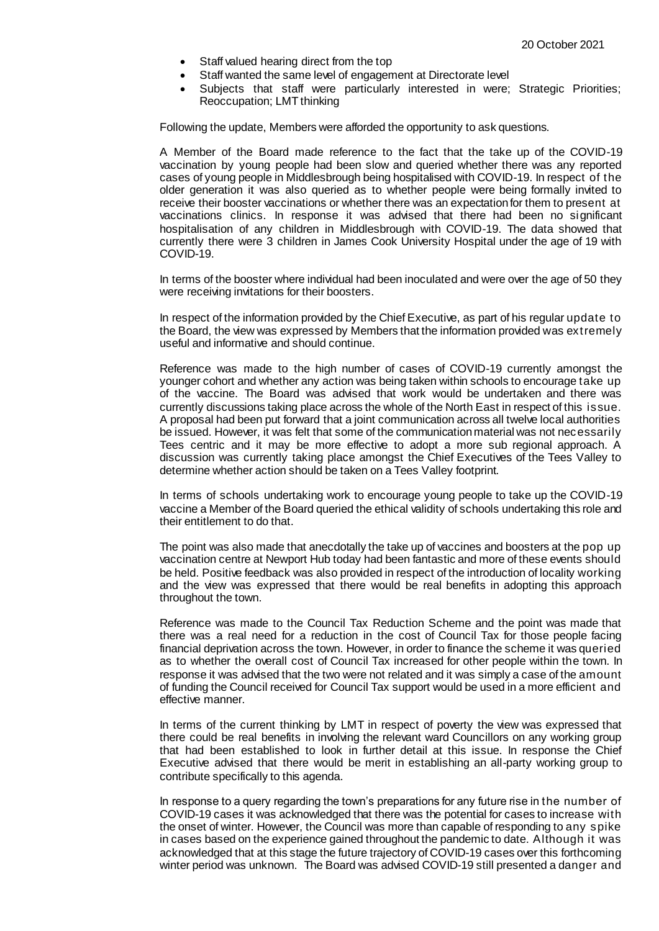- Staff valued hearing direct from the top
- Staff wanted the same level of engagement at Directorate level
- Subjects that staff were particularly interested in were; Strategic Priorities; Reoccupation; LMT thinking

Following the update, Members were afforded the opportunity to ask questions.

A Member of the Board made reference to the fact that the take up of the COVID-19 vaccination by young people had been slow and queried whether there was any reported cases of young people in Middlesbrough being hospitalised with COVID-19. In respect of the older generation it was also queried as to whether people were being formally invited to receive their booster vaccinations or whether there was an expectation for them to present at vaccinations clinics. In response it was advised that there had been no significant hospitalisation of any children in Middlesbrough with COVID-19. The data showed that currently there were 3 children in James Cook University Hospital under the age of 19 with COVID-19.

In terms of the booster where individual had been inoculated and were over the age of 50 they were receiving invitations for their boosters.

In respect of the information provided by the Chief Executive, as part of his regular update to the Board, the view was expressed by Members that the information provided was extremely useful and informative and should continue.

Reference was made to the high number of cases of COVID-19 currently amongst the younger cohort and whether any action was being taken within schools to encourage take up of the vaccine. The Board was advised that work would be undertaken and there was currently discussions taking place across the whole of the North East in respect of this issue. A proposal had been put forward that a joint communication across all twelve local authorities be issued. However, it was felt that some of the communication material was not necessarily Tees centric and it may be more effective to adopt a more sub regional approach. A discussion was currently taking place amongst the Chief Executives of the Tees Valley to determine whether action should be taken on a Tees Valley footprint.

In terms of schools undertaking work to encourage young people to take up the COVID-19 vaccine a Member of the Board queried the ethical validity of schools undertaking this role and their entitlement to do that.

The point was also made that anecdotally the take up of vaccines and boosters at the pop up vaccination centre at Newport Hub today had been fantastic and more of these events should be held. Positive feedback was also provided in respect of the introduction of locality working and the view was expressed that there would be real benefits in adopting this approach throughout the town.

Reference was made to the Council Tax Reduction Scheme and the point was made that there was a real need for a reduction in the cost of Council Tax for those people facing financial deprivation across the town. However, in order to finance the scheme it was queried as to whether the overall cost of Council Tax increased for other people within the town. In response it was advised that the two were not related and it was simply a case of the amount of funding the Council received for Council Tax support would be used in a more efficient and effective manner.

In terms of the current thinking by LMT in respect of poverty the view was expressed that there could be real benefits in involving the relevant ward Councillors on any working group that had been established to look in further detail at this issue. In response the Chief Executive advised that there would be merit in establishing an all-party working group to contribute specifically to this agenda.

In response to a query regarding the town's preparations for any future rise in the number of COVID-19 cases it was acknowledged that there was the potential for cases to increase with the onset of winter. However, the Council was more than capable of responding to any spike in cases based on the experience gained throughout the pandemic to date. Although it was acknowledged that at this stage the future trajectory of COVID-19 cases over this forthcoming winter period was unknown. The Board was advised COVID-19 still presented a danger and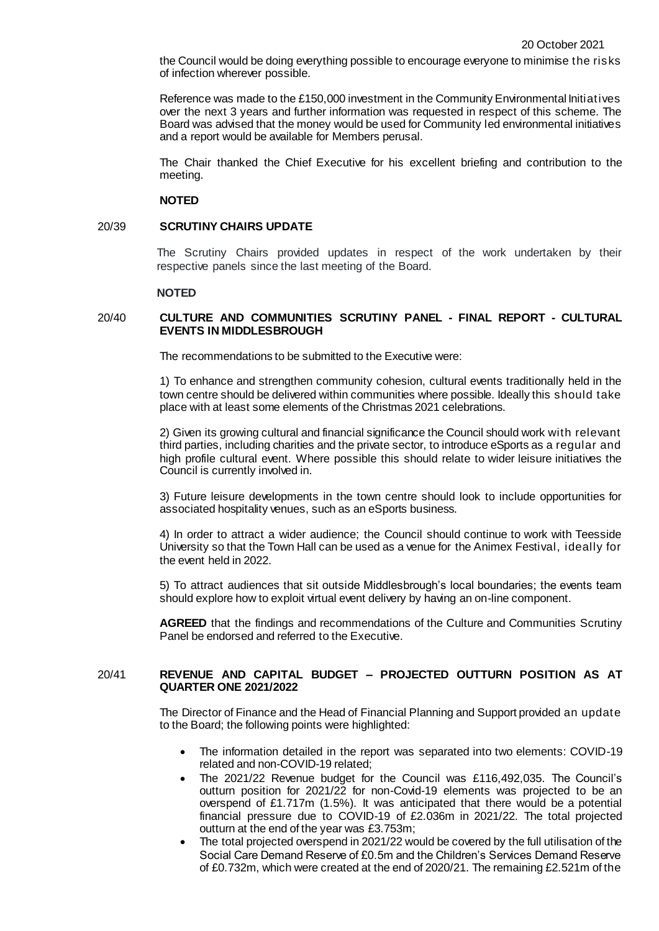the Council would be doing everything possible to encourage everyone to minimise the risks of infection wherever possible.

Reference was made to the £150,000 investment in the Community Environmental Initiatives over the next 3 years and further information was requested in respect of this scheme. The Board was advised that the money would be used for Community led environmental initiatives and a report would be available for Members perusal.

The Chair thanked the Chief Executive for his excellent briefing and contribution to the meeting.

### **NOTED**

### 20/39 **SCRUTINY CHAIRS UPDATE**

The Scrutiny Chairs provided updates in respect of the work undertaken by their respective panels since the last meeting of the Board.

#### **NOTED**

# 20/40 **CULTURE AND COMMUNITIES SCRUTINY PANEL - FINAL REPORT - CULTURAL EVENTS IN MIDDLESBROUGH**

The recommendations to be submitted to the Executive were:

1) To enhance and strengthen community cohesion, cultural events traditionally held in the town centre should be delivered within communities where possible. Ideally this should take place with at least some elements of the Christmas 2021 celebrations.

2) Given its growing cultural and financial significance the Council should work with relevant third parties, including charities and the private sector, to introduce eSports as a regular and high profile cultural event. Where possible this should relate to wider leisure initiatives the Council is currently involved in.

3) Future leisure developments in the town centre should look to include opportunities for associated hospitality venues, such as an eSports business.

4) In order to attract a wider audience; the Council should continue to work with Teesside University so that the Town Hall can be used as a venue for the Animex Festival, ideally for the event held in 2022.

5) To attract audiences that sit outside Middlesbrough's local boundaries; the events team should explore how to exploit virtual event delivery by having an on-line component.

**AGREED** that the findings and recommendations of the Culture and Communities Scrutiny Panel be endorsed and referred to the Executive.

# 20/41 **REVENUE AND CAPITAL BUDGET – PROJECTED OUTTURN POSITION AS AT QUARTER ONE 2021/2022**

The Director of Finance and the Head of Financial Planning and Support provided an update to the Board; the following points were highlighted:

- The information detailed in the report was separated into two elements: COVID-19 related and non-COVID-19 related;
- The 2021/22 Revenue budget for the Council was £116,492,035. The Council's outturn position for 2021/22 for non-Covid-19 elements was projected to be an overspend of £1.717m (1.5%). It was anticipated that there would be a potential financial pressure due to COVID-19 of £2.036m in 2021/22. The total projected outturn at the end of the year was £3.753m;
- The total projected overspend in 2021/22 would be covered by the full utilisation of the Social Care Demand Reserve of £0.5m and the Children's Services Demand Reserve of £0.732m, which were created at the end of 2020/21. The remaining £2.521m of the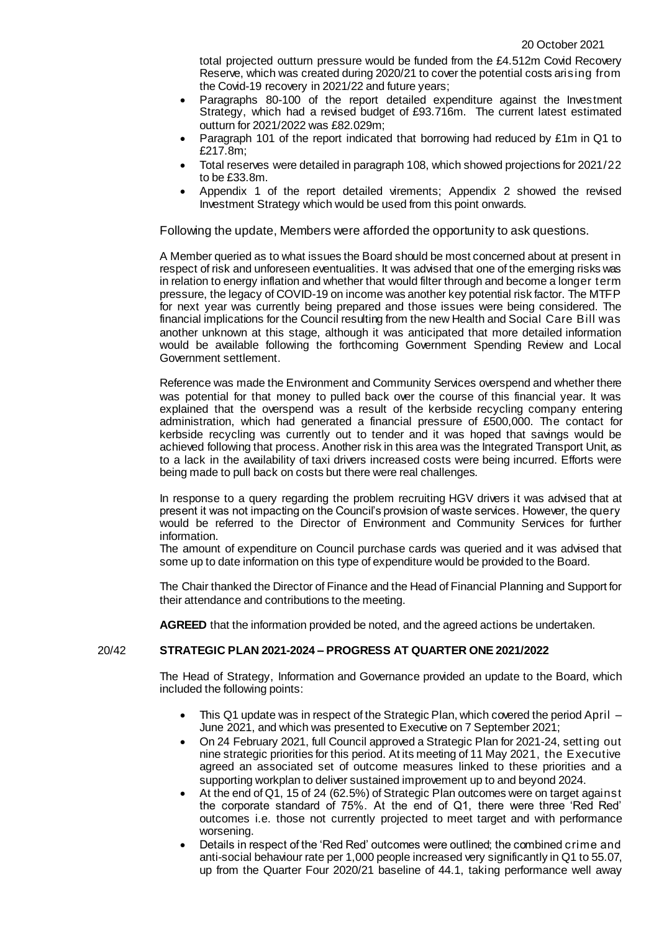total projected outturn pressure would be funded from the £4.512m Covid Recovery Reserve, which was created during 2020/21 to cover the potential costs arising from the Covid-19 recovery in 2021/22 and future years;

- Paragraphs 80-100 of the report detailed expenditure against the Investment Strategy, which had a revised budget of £93.716m. The current latest estimated outturn for 2021/2022 was £82.029m;
- Paragraph 101 of the report indicated that borrowing had reduced by £1m in Q1 to £217.8m;
- Total reserves were detailed in paragraph 108, which showed projections for 2021/22 to be £33.8m.
- Appendix 1 of the report detailed virements; Appendix 2 showed the revised Investment Strategy which would be used from this point onwards.

Following the update, Members were afforded the opportunity to ask questions.

A Member queried as to what issues the Board should be most concerned about at present in respect of risk and unforeseen eventualities. It was advised that one of the emerging risks was in relation to energy inflation and whether that would filter through and become a longer term pressure, the legacy of COVID-19 on income was another key potential risk factor. The MTFP for next year was currently being prepared and those issues were being considered. The financial implications for the Council resulting from the new Health and Social Care Bill was another unknown at this stage, although it was anticipated that more detailed information would be available following the forthcoming Government Spending Review and Local Government settlement.

Reference was made the Environment and Community Services overspend and whether there was potential for that money to pulled back over the course of this financial year. It was explained that the overspend was a result of the kerbside recycling company entering administration, which had generated a financial pressure of £500,000. The contact for kerbside recycling was currently out to tender and it was hoped that savings would be achieved following that process. Another risk in this area was the Integrated Transport Unit, as to a lack in the availability of taxi drivers increased costs were being incurred. Efforts were being made to pull back on costs but there were real challenges.

In response to a query regarding the problem recruiting HGV drivers it was advised that at present it was not impacting on the Council's provision of waste services. However, the query would be referred to the Director of Environment and Community Services for further information.

The amount of expenditure on Council purchase cards was queried and it was advised that some up to date information on this type of expenditure would be provided to the Board.

The Chair thanked the Director of Finance and the Head of Financial Planning and Support for their attendance and contributions to the meeting.

**AGREED** that the information provided be noted, and the agreed actions be undertaken.

# 20/42 **STRATEGIC PLAN 2021-2024 – PROGRESS AT QUARTER ONE 2021/2022**

The Head of Strategy, Information and Governance provided an update to the Board, which included the following points:

- This Q1 update was in respect of the Strategic Plan, which covered the period April June 2021, and which was presented to Executive on 7 September 2021;
- On 24 February 2021, full Council approved a Strategic Plan for 2021-24, setting out nine strategic priorities for this period. At its meeting of 11 May 2021, the Executive agreed an associated set of outcome measures linked to these priorities and a supporting workplan to deliver sustained improvement up to and beyond 2024.
- At the end of Q1, 15 of 24 (62.5%) of Strategic Plan outcomes were on target against the corporate standard of 75%. At the end of Q1, there were three 'Red Red' outcomes i.e. those not currently projected to meet target and with performance worsening.
- Details in respect of the 'Red Red' outcomes were outlined; the combined crime and anti-social behaviour rate per 1,000 people increased very significantly in Q1 to 55.07, up from the Quarter Four 2020/21 baseline of 44.1, taking performance well away